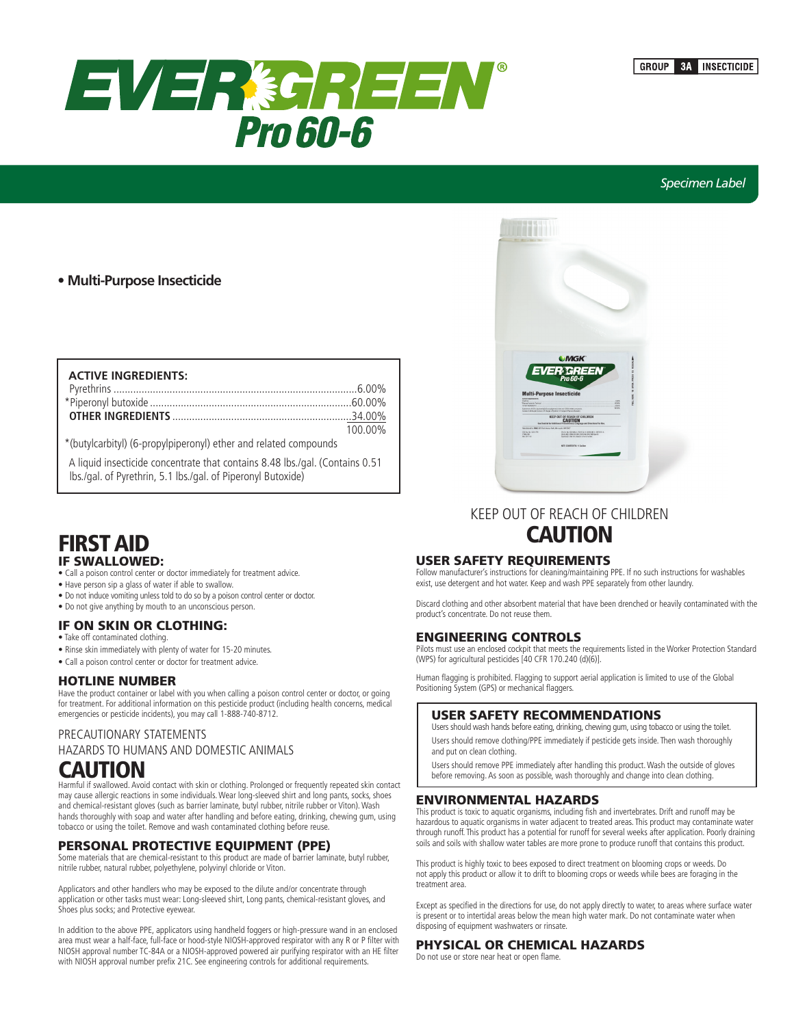



### **• Multi-Purpose Insecticide**

|                          |  | <b>ACTIVE INGREDIENTS:</b> |  |
|--------------------------|--|----------------------------|--|
| $\overline{\phantom{0}}$ |  |                            |  |

| 100.00% |
|---------|

\*(butylcarbityl) (6-propylpiperonyl) ether and related compounds

A liquid insecticide concentrate that contains 8.48 lbs./gal. (Contains 0.51 lbs./gal. of Pyrethrin, 5.1 lbs./gal. of Piperonyl Butoxide)

## FIRST AID IF SWALLOWED:

- Call a poison control center or doctor immediately for treatment advice.
- Have person sip a glass of water if able to swallow.
- Do not induce vomiting unless told to do so by a poison control center or doctor.
- Do not give anything by mouth to an unconscious person.

#### IF ON SKIN OR CLOTHING:

- Take off contaminated clothing.
- Rinse skin immediately with plenty of water for 15-20 minutes.
- Call a poison control center or doctor for treatment advice.

#### HOTLINE NUMBER

Have the product container or label with you when calling a poison control center or doctor, or going for treatment. For additional information on this pesticide product (including health concerns, medical emergencies or pesticide incidents), you may call 1-888-740-8712.

### PRECAUTIONARY STATEMENTS

HAZARDS TO HUMANS AND DOMESTIC ANIMALS

## CAUTION

Harmful if swallowed. Avoid contact with skin or clothing. Prolonged or frequently repeated skin contact may cause allergic reactions in some individuals. Wear long-sleeved shirt and long pants, socks, shoes and chemical-resistant gloves (such as barrier laminate, butyl rubber, nitrile rubber or Viton). Wash hands thoroughly with soap and water after handling and before eating, drinking, chewing gum, using tobacco or using the toilet. Remove and wash contaminated clothing before reuse.

#### PERSONAL PROTECTIVE EQUIPMENT (PPE)

Some materials that are chemical-resistant to this product are made of barrier laminate, butyl rubber, nitrile rubber, natural rubber, polyethylene, polyvinyl chloride or Viton.

Applicators and other handlers who may be exposed to the dilute and/or concentrate through application or other tasks must wear: Long-sleeved shirt, Long pants, chemical-resistant gloves, and Shoes plus socks; and Protective eyewear.

In addition to the above PPE, applicators using handheld foggers or high-pressure wand in an enclosed area must wear a half-face, full-face or hood-style NIOSH-approved respirator with any R or P filter with NIOSH approval number TC-84A or a NIOSH-approved powered air purifying respirator with an HE filter with NIOSH approval number prefix 21C. See engineering controls for additional requirements.



## KEEP OUT OF REACH OF CHILDREN CAUTION

#### USER SAFETY REQUIREMENTS

Follow manufacturer's instructions for cleaning/maintaining PPE. If no such instructions for washables exist, use detergent and hot water. Keep and wash PPE separately from other laundry.

Discard clothing and other absorbent material that have been drenched or heavily contaminated with the product's concentrate. Do not reuse them.

#### ENGINEERING CONTROLS

Pilots must use an enclosed cockpit that meets the requirements listed in the Worker Protection Standard (WPS) for agricultural pesticides [40 CFR 170.240 (d)(6)].

Human flagging is prohibited. Flagging to support aerial application is limited to use of the Global Positioning System (GPS) or mechanical flaggers.

#### USER SAFETY RECOMMENDATIONS

Users should wash hands before eating, drinking, chewing gum, using tobacco or using the toilet. Users should remove clothing/PPE immediately if pesticide gets inside. Then wash thoroughly and put on clean clothing.

Users should remove PPE immediately after handling this product. Wash the outside of gloves before removing. As soon as possible, wash thoroughly and change into clean clothing.

#### ENVIRONMENTAL HAZARDS

This product is toxic to aquatic organisms, including fish and invertebrates. Drift and runoff may be hazardous to aquatic organisms in water adjacent to treated areas. This product may contaminate water through runoff. This product has a potential for runoff for several weeks after application. Poorly draining soils and soils with shallow water tables are more prone to produce runoff that contains this product.

This product is highly toxic to bees exposed to direct treatment on blooming crops or weeds. Do not apply this product or allow it to drift to blooming crops or weeds while bees are foraging in the treatment area.

Except as specified in the directions for use, do not apply directly to water, to areas where surface water is present or to intertidal areas below the mean high water mark. Do not contaminate water when disposing of equipment washwaters or rinsate.

#### PHYSICAL OR CHEMICAL HAZARDS

Do not use or store near heat or open flame.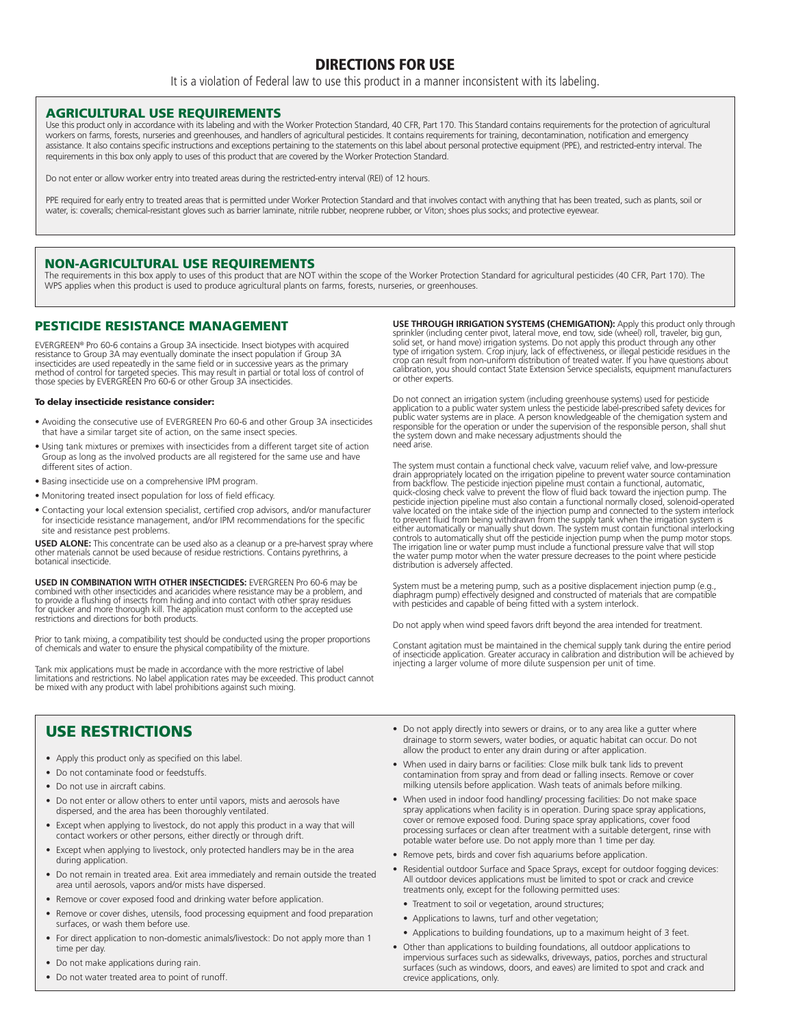## DIRECTIONS FOR USE

It is a violation of Federal law to use this product in a manner inconsistent with its labeling.

#### AGRICULTURAL USE REQUIREMENTS

Use this product only in accordance with its labeling and with the Worker Protection Standard, 40 CFR, Part 170. This Standard contains requirements for the protection of agricultural workers on farms, forests, nurseries and greenhouses, and handlers of agricultural pesticides. It contains requirements for training, decontamination, notification and emergency assistance. It also contains specific instructions and exceptions pertaining to the statements on this label about personal protective equipment (PPE), and restricted-entry interval. The requirements in this box only apply to uses of this product that are covered by the Worker Protection Standard.

Do not enter or allow worker entry into treated areas during the restricted-entry interval (REI) of 12 hours.

PPE required for early entry to treated areas that is permitted under Worker Protection Standard and that involves contact with anything that has been treated, such as plants, soil or water, is: coveralls; chemical-resistant gloves such as barrier laminate, nitrile rubber, neoprene rubber, or Viton; shoes plus socks; and protective eyewear.

#### NON-AGRICULTURAL USE REQUIREMENTS

The requirements in this box apply to uses of this product that are NOT within the scope of the Worker Protection Standard for agricultural pesticides (40 CFR, Part 170). The WPS applies when this product is used to produce agricultural plants on farms, forests, nurseries, or greenhouses.

#### PESTICIDE RESISTANCE MANAGEMENT

EVERGREEN® Pro 60-6 contains a Group 3A insecticide. Insect biotypes with acquired resistance to Group 3A may eventually dominate the insect population if Group 3A insecticides are used repeatedly in the same field or in successive years as the primary method of control for targeted species. This may result in partial or total loss of control of those species by EVERGREEN Pro 60-6 or other Group 3A insecticides.

#### To delay insecticide resistance consider:

- Avoiding the consecutive use of EVERGREEN Pro 60-6 and other Group 3A insecticides that have a similar target site of action, on the same insect species.
- Using tank mixtures or premixes with insecticides from a different target site of action Group as long as the involved products are all registered for the same use and have different sites of action.
- Basing insecticide use on a comprehensive IPM program.
- Monitoring treated insect population for loss of field efficacy.
- Contacting your local extension specialist, certified crop advisors, and/or manufacturer for insecticide resistance management, and/or IPM recommendations for the specific site and resistance pest problems.

**USED ALONE:** This concentrate can be used also as a cleanup or a pre-harvest spray where other materials cannot be used because of residue restrictions. Contains pyrethrins, a botanical insecticide.

**USED IN COMBINATION WITH OTHER INSECTICIDES:** EVERGREEN Pro 60-6 may be combined with other insecticides and acaricides where resistance may be a problem, and to provide a flushing of insects from hiding and into contact with other spray residues for quicker and more thorough kill. The application must conform to the accepted use restrictions and directions for both products.

Prior to tank mixing, a compatibility test should be conducted using the proper proportions of chemicals and water to ensure the physical compatibility of the mixture.

Tank mix applications must be made in accordance with the more restrictive of label limitations and restrictions. No label application rates may be exceeded. This product cannot be mixed with any product with label prohibitions against such mixing.

**USE THROUGH IRRIGATION SYSTEMS (CHEMIGATION):** Apply this product only through<br>sprinkler (including center pivot, lateral move, end tow, side (wheel) roll, traveler, big gun,<br>solid set, or hand move) irrigation systems. D calibration, you should contact State Extension Service specialists, equipment manufacturers or other experts.

Do not connect an irrigation system (including greenhouse systems) used for pesticide application to a public water system unless the pesticide label-prescribed safety devices for public water systems are in place. A person knowledgeable of the chemigation system and responsible for the operation or under the supervision of the responsible person, shall shut the system down and make necessary adjustments should the need arise.

The system must contain a functional check valve, vacuum relief valve, and low-pressure drain appropriately located on the irrigation pipeline to prevent water source contamination<br>from backflow. The pesticide injection pipeline must contain a functional, automatic,<br>quick-closing check valve to prevent the fl pesticide injection pipeline must also contain a functional normally closed, solenoid-operated<br>valve located on the intake side of the injection pump and connected to the system interlock<br>to prevent fluid from being withdr either automatically or manually shut down. The system must contain functional interlocking controls to automatically shut off the pesticide injection pump when the pump motor stops. The irrigation line or water pump must include a functional pressure valve that will stop the water pump motor when the water pressure decreases to the point where pesticide distribution is adversely affected.

System must be a metering pump, such as a positive displacement injection pump (e.g., diaphragm pump) effectively designed and constructed of materials that are compatible with pesticides and capable of being fitted with a system interlock.

Do not apply when wind speed favors drift beyond the area intended for treatment.

Constant agitation must be maintained in the chemical supply tank during the entire period<br>of insecticide application. Greater accuracy in calibration and distribution will be achieved by<br>injecting a larger volume of more

### USE RESTRICTIONS

- Apply this product only as specified on this label.
- Do not contaminate food or feedstuffs.
- Do not use in aircraft cabins.
- Do not enter or allow others to enter until vapors, mists and aerosols have dispersed, and the area has been thoroughly ventilated.
- Except when applying to livestock, do not apply this product in a way that will contact workers or other persons, either directly or through drift.
- Except when applying to livestock, only protected handlers may be in the area during application.
- Do not remain in treated area. Exit area immediately and remain outside the treated area until aerosols, vapors and/or mists have dispersed.
- Remove or cover exposed food and drinking water before application.
- Remove or cover dishes, utensils, food processing equipment and food preparation surfaces, or wash them before use.
- For direct application to non-domestic animals/livestock: Do not apply more than 1 time per day.
- Do not make applications during rain.
- Do not water treated area to point of runoff.
- Do not apply directly into sewers or drains, or to any area like a gutter where drainage to storm sewers, water bodies, or aquatic habitat can occur. Do not allow the product to enter any drain during or after application.
- When used in dairy barns or facilities: Close milk bulk tank lids to prevent contamination from spray and from dead or falling insects. Remove or cover milking utensils before application. Wash teats of animals before milking.
- When used in indoor food handling/ processing facilities: Do not make space spray applications when facility is in operation. During space spray applications, cover or remove exposed food. During space spray applications, cover food processing surfaces or clean after treatment with a suitable detergent, rinse with potable water before use. Do not apply more than 1 time per day.
- Remove pets, birds and cover fish aquariums before application.
- Residential outdoor Surface and Space Sprays, except for outdoor fogging devices: All outdoor devices applications must be limited to spot or crack and crevice treatments only, except for the following permitted uses:
- Treatment to soil or vegetation, around structures;
- Applications to lawns, turf and other vegetation;
- Applications to building foundations, up to a maximum height of 3 feet.
- Other than applications to building foundations, all outdoor applications to impervious surfaces such as sidewalks, driveways, patios, porches and structural surfaces (such as windows, doors, and eaves) are limited to spot and crack and crevice applications, only.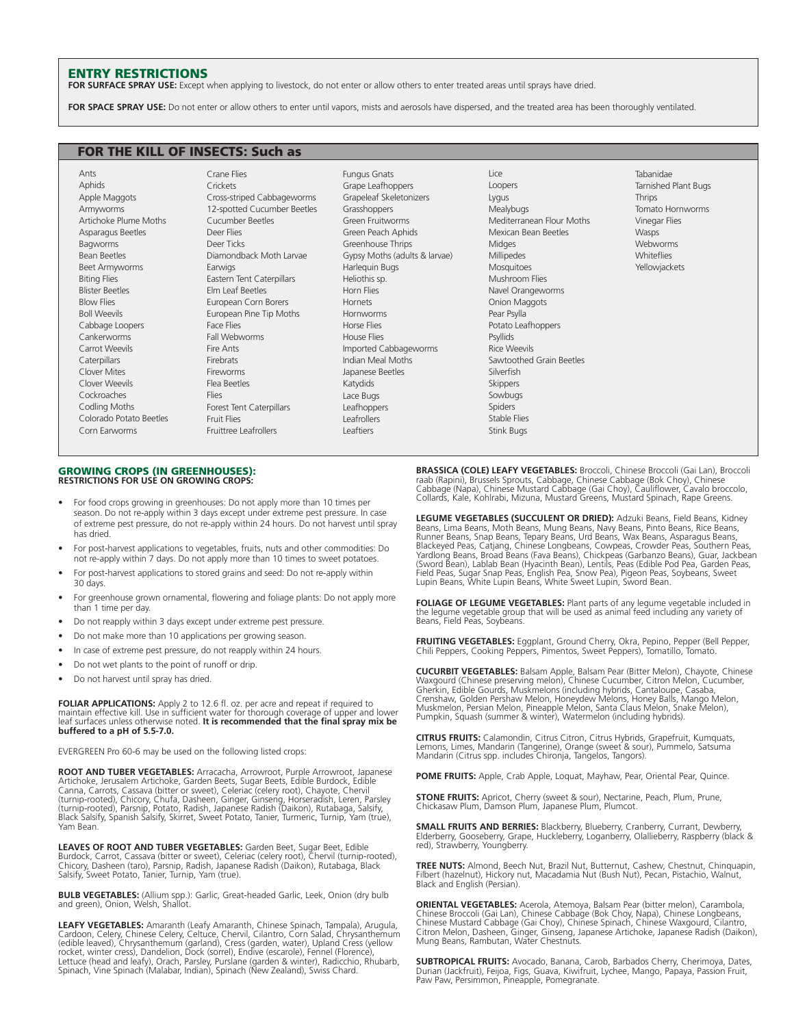#### ENTRY RESTRICTIONS

**FOR SURFACE SPRAY USE:** Except when applying to livestock, do not enter or allow others to enter treated areas until sprays have dried.

FOR SPACE SPRAY USE: Do not enter or allow others to enter until vapors, mists and aerosols have dispersed, and the treated area has been thoroughly ventilated.

#### FOR THE KILL OF INSECTS: Such as

Crane Flies

Ants Aphids Apple Maggots Armyworms Artichoke Plume Moths Asparagus Beetles Bagworms Bean Beetles Beet Armyworms Biting Flies Blister Beetles Blow Flies Boll Weevils Cabbage Loopers Cankerworms Carrot Weevils **Caterpillars** Clover Mites Clover Weevils Cockroaches Codling Moths Colorado Potato Beetles Corn Earworms

Crickets Cross-striped Cabbageworms 12-spotted Cucumber Beetles Cucumber Beetles Deer Flies Deer Ticks Diamondback Moth Larvae Earwigs Eastern Tent Caterpillars Elm Leaf Beetles European Corn Borers European Pine Tip Moths Face Flies Fall Webworms Fire Ants Firebrats Fireworms Flea Beetles **Flies** Forest Tent Caterpillars Fruit Flies Fruittree Leafrollers

Fungus Gnats Grape Leafhoppers Grapeleaf Skeletonizers Grasshoppers Green Fruitworms Green Peach Aphids Greenhouse Thrips Gypsy Moths (adults & larvae) Harlequin Bugs Heliothis sp. Horn Flies Hornets Hornworms Horse Flies House Flies Imported Cabbageworms Indian Meal Moths Japanese Beetles Katydids Lace Bugs Leafhoppers Leafrollers Leaftiers

Lice Loopers Lygus **Mealybugs** Mediterranean Flour Moths Mexican Bean Beetles **Midges** Millipedes Mosquitoes Mushroom Flies Navel Orangeworms Onion Maggots Pear Psylla Potato Leafhoppers Psyllids Rice Weevils Sawtoothed Grain Beetles Silverfish **Skippers** Sowbugs Spiders Stable Flies Stink Bugs

Tabanidae Tarnished Plant Bugs Thrins Tomato Hornworms Vinegar Flies Wasps Webworms Whiteflies Yellowjackets

## GROWING CROPS (IN GREENHOUSES): **RESTRICTIONS FOR USE ON GROWING CROPS:**

- For food crops growing in greenhouses: Do not apply more than 10 times per season. Do not re-apply within 3 days except under extreme pest pressure. In case of extreme pest pressure, do not re-apply within 24 hours. Do not harvest until spray has dried.
- For post-harvest applications to vegetables, fruits, nuts and other commodities: Do not re-apply within 7 days. Do not apply more than 10 times to sweet potatoes.
- For post-harvest applications to stored grains and seed: Do not re-apply within 30 days.
- For greenhouse grown ornamental, flowering and foliage plants: Do not apply more than 1 time per day.
- Do not reapply within 3 days except under extreme pest pressure.
- Do not make more than 10 applications per growing season.
- In case of extreme pest pressure, do not reapply within 24 hours.
- Do not wet plants to the point of runoff or drip.
- Do not harvest until spray has dried.

**FOLIAR APPLICATIONS:** Apply 2 to 12.6 fl. oz. per acre and repeat if required to<br>maintain effective kill. Use in sufficient water for thorough coverage of upper and lower<br>leaf surfaces unless otherwise noted. **It is recom buffered to a pH of 5.5-7.0.**

EVERGREEN Pro 60-6 may be used on the following listed crops:

**ROOT AND TUBER VEGETABLES:** Arracacha, Arrowroot, Purple Arrowroot, Japanese<br>Artichoke, Jerusalem Artichoke, Garden Beets, Sugar Beets, Edible Burdock, Edible<br>Canna, Carrots, Cassava (bitter or sweet), Celeriac (celery ro Yam Bean.

**LEAVES OF ROOT AND TUBER VEGETABLES:** Garden Beet, Sugar Beet, Edible Burdock, Carrot, Cassava (bitter or sweet), Celeriac (celery root), Chervil (turnip-rooted), Chicory, Dasheen (taro), Parsnip, Radish, Japanese Radish (Daikon), Rutabaga, Black Salsify, Sweet Potato, Tanier, Turnip, Yam (true).

**BULB VEGETABLES:** (Allium spp.): Garlic, Great-headed Garlic, Leek, Onion (dry bulb and green), Onion, Welsh, Shallot.

LEAFY VEGETABLES: Amaranth (Leafy Amaranth, Chinese Spinach, Tampala), Arugula, Cardoon, Celery, Chinese Celery, Celtuce, Chervil, Cilantro, Corn Salad, Chrysanthemum<br>(edible leaved), Chrysanthemum (garland), Cress (garden

**BRASSICA (COLE) LEAFY VEGETABLES:** Broccoli, Chinese Broccoli (Gai Lan), Broccoli<br>raab (Rapini), Brussels Sprouts, Cabbage, Chinese Cabbage (Bok Choy), Chinese<br>Cabbage (Napa), Chinese Mustard Cabbage (Gai Choy), Cauliflow Collards, Kale, Kohlrabi, Mizuna, Mustard Greens, Mustard Spinach, Rape Greens.

**LEGUME VEGETABLES (SUCCULENT OR DRIED):** Adzuki Beans, Field Beans, Kidney<br>Beans, Lima Beans, Moth Beans, Mung Beans, Navy Beans, Pinto Beans, Rice Beans,<br>Runner Beans, Snap Beans, Tepary Beans, Urd Beans, Wax Beans, Aspa Blackeyed Peas, Catjang, Chinese Longbeans, Cowpeas, Crowder Peas, Southern Peas,<br>Yardlong Beans, Broad Beans (Fava Beans), Chickpeas (Garbanzo Beans), Guar, Jackbean<br>(Sword Bean), Lablab Bean (Hyacinth Bean), Lentils, Pea

**FOLIAGE OF LEGUME VEGETABLES:** Plant parts of any legume vegetable included in the legume vegetable group that will be used as animal feed including any variety of Beans, Field Peas, Soybeans.

**FRUITING VEGETABLES:** Eggplant, Ground Cherry, Okra, Pepino, Pepper (Bell Pepper, Chili Peppers, Cooking Peppers, Pimentos, Sweet Peppers), Tomatillo, Tomato.

**CUCURBIT VEGETABLES:** Balsam Apple, Balsam Pear (Bitter Melon), Chayote, Chinese Waxgourd (Chinese preserving melon), Chinese Cucumber, Citron Melon, Cucumber,<br>Gherkin, Edible Gourds, Muskmelons (including hybrids, Cantaloupe, Casaba,<br>Crenshaw, Golden Pershaw Melon, Honeydew Melons, Honey Balls, Mango Pumpkin, Squash (summer & winter), Watermelon (including hybrids).

**CITRUS FRUITS:** Calamondin, Citrus Citron, Citrus Hybrids, Grapefruit, Kumquats, Lemons, Limes, Mandarin (Tangerine), Orange (sweet & sour), Pummelo, Satsuma Mandarin (Citrus spp. includes Chironja, Tangelos, Tangors).

**POME FRUITS:** Apple, Crab Apple, Loquat, Mayhaw, Pear, Oriental Pear, Quince.

**STONE FRUITS:** Apricot, Cherry (sweet & sour), Nectarine, Peach, Plum, Prune, Chickasaw Plum, Damson Plum, Japanese Plum, Plumcot.

**SMALL FRUITS AND BERRIES:** Blackberry, Blueberry, Cranberry, Currant, Dewberry,<br>Elderberry, Gooseberry, Grape, Huckleberry, Loganberry, Olallieberry, Raspberry (black &<br>red), Strawberry, Youngberry.

**TREE NUTS:** Almond, Beech Nut, Brazil Nut, Butternut, Cashew, Chestnut, Chinquapin, Filbert (hazelnut), Hickory nut, Macadamia Nut (Bush Nut), Pecan, Pistachio, Walnut, Black and English (Persian).

**ORIENTAL VEGETABLES:** Acerola, Atemoya, Balsam Pear (bitter melon), Carambola,<br>Chinese Broccoli (Gai Lan), Chinese Cabbage (Bok Choy, Napa), Chinese Longbeans,<br>Chinese Mustard Cabbage (Gai Choy), Chinese Spinach, Chinese Citron Melon, Dasheen, Ginger, Ginseng, Japanese Artichoke, Japanese Radish (Daikon), Mung Beans, Rambutan, Water Chestnuts.

**SUBTROPICAL FRUITS:** Avocado, Banana, Carob, Barbados Cherry, Cherimoya, Dates, Durian (Jackfruit), Feijoa, Figs, Guava, Kiwifruit, Lychee, Mango, Papaya, Passion Fruit, Paw Paw, Persimmon, Pineapple, Pomegranate.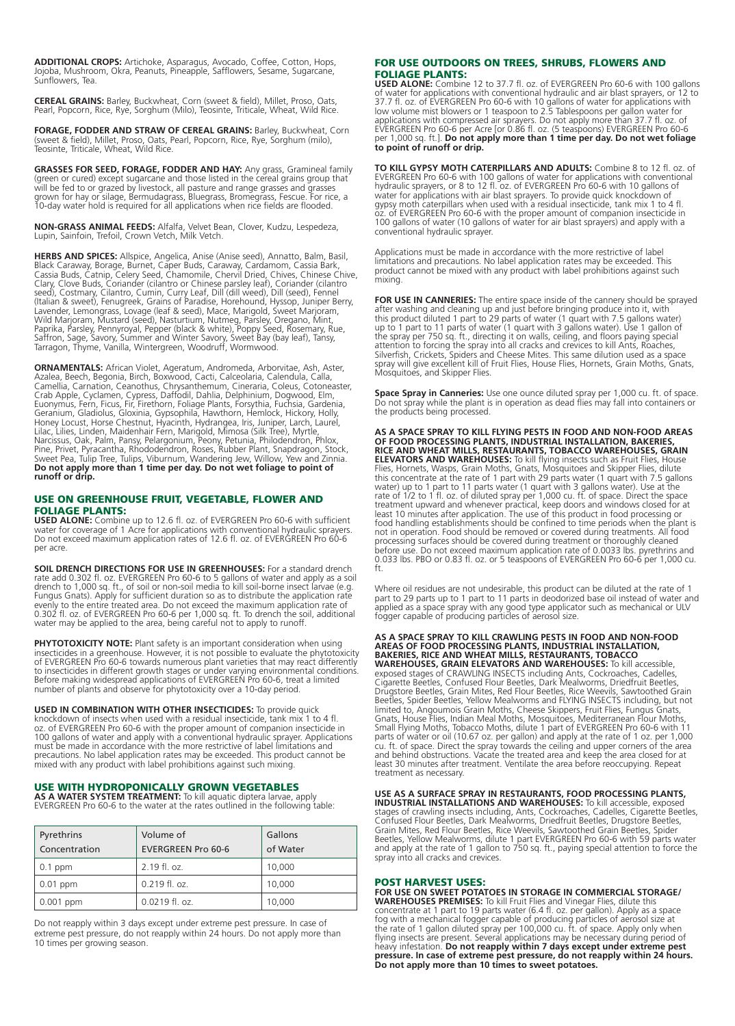**ADDITIONAL CROPS:** Artichoke, Asparagus, Avocado, Coffee, Cotton, Hops, Jojoba, Mushroom, Okra, Peanuts, Pineapple, Safflowers, Sesame, Sugarcane, Sunflowers, Tea.

**CEREAL GRAINS:** Barley, Buckwheat, Corn (sweet & field), Millet, Proso, Oats, Pearl, Popcorn, Rice, Rye, Sorghum (Milo), Teosinte, Triticale, Wheat, Wild Rice.

**FORAGE, FODDER AND STRAW OF CEREAL GRAINS:** Barley, Buckwheat, Corn (sweet & field), Millet, Proso, Oats, Pearl, Popcorn, Rice, Rye, Sorghum (milo), Teosinte, Triticale, Wheat, Wild Rice.

**GRASSES FOR SEED, FORAGE, FODDER AND HAY:** Any grass, Gramineal family (green or cured) except sugarcane and those listed in the cereal grains group that will be fed to or grazed by livestock, all pasture and range grasses and grasses<br>grown for hay or silage, Bermudagrass, Bluegrass, Bromegrass, Fescue. For rice, a<br>10-day water hold is required for all applications when ric

**NON-GRASS ANIMAL FEEDS:** Alfalfa, Velvet Bean, Clover, Kudzu, Lespedeza,<br>Lupin, Sainfoin, Trefoil, Crown Vetch, Milk Vetch.

**HERBS AND SPICES:** Allspice, Angelica, Anise (Anise seed), Annatto, Balm, Basil, Black Caraway, Borage, Bürnet, Caper Buds, Caraway, Cardamom, Cassia Bark,<br>Cassia Buds, Catnip, Celery Seed, Chamomile, Chervil Dried, Chives, Chinese Chive,<br>Clary, Clove Buds, Coriander (cilantro or Chinese parsley leaf), seed), Costmary, Cilantro, Cumin, Curry Leaf, Dill (dill weed), Dill (seed), Fennel<br>(Italian & sweet), Fenugreek, Grains of Paradise, Horehound, Hyssop, Juniper Berry,<br>Lavender, Lemongrass, Lovage (leaf & seed), Mace, Mari

**ORNAMENTALS:** African Violet, Ageratum, Andromeda, Arborvitae, Ash, Aster, Azalea, Beech, Begonia, Birch, Boxwood, Cacti, Calceolaria, Calendula, Calla, Caramellia, Caramelia, Caramelia, Caramelia, Caramelia, Caramelia, C Narcissus, Oak, Palm, Pansy, Pelargonium, Peony, Petunia, Philodendron, Phlox,<br>Pine, Privet, Pyracantha, Rhododendron, Roses, Rubber Plant, Snapdragon, Stock,<br>Sweet Pea, Tulip Tree, Tulips, Viburnum, Wandering Jew, Willow,

## USE ON GREENHOUSE FRUIT, VEGETABLE, FLOWER AND FOLIAGE PLANTS: **USED ALONE:** Combine up to 12.6 fl. oz. of EVERGREEN Pro 60-6 with sufficient

water for coverage of 1 Acre for applications with conventional hydraulic sprayers. Do not exceed maximum application rates of 12.6 fl. oz. of EVERGREEN Pro 60-6 per acre.

**SOIL DRENCH DIRECTIONS FOR USE IN GREENHOUSES:** For a standard drench rate add 0.302 fl. oz. EVERGREEN Pro 60-6 to 5 gallons of water and apply as a soil drench to 1,000 sq. ft., of soil or non-soil media to kill soil-borne insect larvae (e.g. Fungus Gnats). Apply for sufficient duration so as to distribute the application rate<br>evenly to the entire treated area. Do not exceed the maximum application rate of<br>0.302 fl. oz. of EVERGREEN Pro 60-6 per 1,000 sq. ft. T water may be applied to the area, being careful not to apply to runoff.

**PHYTOTOXICITY NOTE:** Plant safety is an important consideration when using insecticides in a greenhouse. However, it is not possible to evaluate the phytotoxicity of EVERGREEN Pro 60-6 towards numerous plant varieties that may react differently<br>to insecticides in different growth stages or under varying environmental conditions.<br>Before making widespread applications of EVERGREEN Pro number of plants and observe for phytotoxicity over a 10-day period.

**USED IN COMBINATION WITH OTHER INSECTICIDES:** To provide quick knockdown of insects when used with a residual insecticide, tank mix 1 to 4 fl. oz. of EVERGREEN Pro 60-6 with the proper amount of companion insecticide in 100 gallons of water and apply with a conventional hydraulic sprayer. Applications must be made in accordance with the more restrictive of label limitations and precautions. No label application rates may be exceeded. This product cannot be mixed with any product with label prohibitions against such mixing.

## USE WITH HYDROPONICALLY GROWN VEGETABLES **AS A WATER SYSTEM TREATMENT:** To kill aquatic diptera larvae, apply

EVERGREEN Pro 60-6 to the water at the rates outlined in the following table:

| Pyrethrins<br>Concentration | Volume of<br><b>EVERGREEN Pro 60-6</b> | Gallons<br>of Water |
|-----------------------------|----------------------------------------|---------------------|
| $0.1$ ppm                   | 2.19 fl. oz.                           | 10,000              |
| $0.01$ ppm                  | 0.219 fl. oz.                          | 10,000              |
| $0.001$ ppm                 | 0.0219 fl. oz.                         | 10,000              |

Do not reapply within 3 days except under extreme pest pressure. In case of extreme pest pressure, do not reapply within 24 hours. Do not apply more than 10 times per growing season.

#### FOR USE OUTDOORS ON TREES, SHRUBS, FLOWERS AND FOLIAGE PLANTS:

**USED ALONE:** Combine 12 to 37.7 fl. oz. of EVERGREEN Pro 60-6 with 100 gallons of water for applications with conventional hydraulic and air blast sprayers, or 12 to 37.7 fl. oz. of EVERGREEN Pro 60-6 with 10 gallons of w per 1,000 sq. ft.]. **Do not apply more than 1 time per day. Do not wet foliage to point of runoff or drip.**

**TO KILL GYPSY MOTH CATERPILLARS AND ADULTS:** Combine 8 to 12 fl. oz. of EVERGREEN Pro 60-6 with 100 gallons of water for applications with conventional<br>hydraulic sprayers, or 8 to 12 fl. oz. of EVERGREN Pro 60-6 with 10 gallons of<br>water for applications with air blast sprayers. To provide quic gypsy moth caterpillars when used with a residual insecticide, tank mix 1 to 4 fl.<br>0z. of EVERGREEN Pro 60-6 with the proper amount of companion insecticide in<br>100 gallons of water (10 gallons of water for air blast spraye conventional hydraulic sprayer.

Applications must be made in accordance with the more restrictive of label<br>limitations and precautions. No label application rates may be exceeded. This<br>product cannot be mixed with any product with label prohibitions agai mixing.

**FOR USE IN CANNERIES:** The entire space inside of the cannery should be sprayed after washing and cleaning up and just before bringing produce into it, with<br>this product diluted 1 part to 29 parts of water (1 quart with 7.5 gallons water)<br>up to 1 part to 11 parts of water (1 quart with 3 gallons water the spray per 750 sq. ft., directing it on walls, ceiling, and floors paying special<br>attention to forcing the spray into all cracks and crevices to kill Ants, Roaches,<br>Silverfish, Crickets, Spiders and Cheese Mites. This s

**Space Spray in Canneries:** Use one ounce diluted spray per 1,000 cu. ft. of space. Do not spray while the plant is in operation as dead flies may fall into containers or the products being processed.

AS A SPACE SPRAY TO KILL FLYING PESTS IN FOOD AND NON-FOOD AREAS<br>OF FOOD PROCESSING PLANTS, INDUSTRIAL INSTALLATION, BAKERIES,<br>RICE AND WHEAT MILLS, RESTAURANTS, TOBACCO WAREHOUSES, GRAIN<br>ELEVATORS AND WAREHOUSES: To kill not in operation. Food should be removed or covered during treatments. All food processing surfaces should be covered during treatment or thoroughly cleaned before use. Do not exceed maximum application rate of 0.0033 lbs. pyrethrins and 0.033 lbs. PBO or 0.83 fl. oz. or 5 teaspoons of EVERGREEN Pro 60-6 per 1,000 cu. ft.

Where oil residues are not undesirable, this product can be diluted at the rate of 1 part to 29 parts up to 1 part to 11 parts in deodorized base oil instead of water and applied as a space spray with any good type applicator such as mechanical or ULV fogger capable of producing particles of aerosol size.

# **AS A SPACE SPRAY TO KILL CRAWLING PESTS IN FOOD AND NON-FOOD AREAS OF FOOD PROCESSING PLANTS, INDUSTRIAL INSTALLATION,**

**BAKERIES, RICE AND WHEAT MILLS, RESTAURANTS, TOBACCO**<br>WAREHOUSES, GRAIN ELEVATORS AND WAREHOUSES: To kill accessible,<br>exposed stages of CRAWLING INSECTS including Ants, Cockroaches, Cadelles, Cigarette Beetles, Confused Flour Beetles, Dark Mealworms, Driedfruit Beetles,<br>Drugstore Beetles, Grain Mites, Red Flour Beetles, Rice Weevils, Sawtoothed Grain<br>Beetles, Spider Beetles, Yellow Mealworms and FLYING INSECTS limited to, Angoumois Grain Moths, Cheese Skippers, Fruit Flies, Fungus Gnats,<br>Gnats, House Flies, Indian Meal Moths, Mosquitoes, Mediterranean Flour Moths,<br>Small Flying Moths, Tobacco Moths, dilute 1 part of EVERGREEN Pro parts of wāter or oil (10.67 oz. per gallon) and apply at the rate of 1 oz. per 1,000<br>cu. ft. of space. Direct the spray towards the ceiling and upper corners of the area<br>and behind obstructions. Vacate the treated area an least 30 minutes after treatment. Ventilate the area before reoccupying. Repeat treatment as necessary.

**USE AS A SURFACE SPRAY IN RESTAURANTS, FOOD PROCESSING PLANTS, INDUSTRIAL INSTALLATIONS AND WAREHOUSES:** To kill accessible, exposed<br>stages of crawling insects including, Ants, Cockroaches, Cadelles, Cigarette Beetles,<br>Confused Flour Beetles, Dark Mealworms, Driedfruit Beetles, Drugs Grain Mites, Red Flour Beetles, Rice Weevils, Sawtoothed Grain Beetles, Spider<br>Beetles, Yellow Mealworms, dilute 1 part EVERGREEN Pro 60-6 with 59 parts water<br>and apply at the rate of 1 gallon to 750 sq. ft., paying specia spray into all cracks and crevices.

#### POST HARVEST USES:

**FOR USE ON SWEET POTATOES IN STORAGE IN COMMERCIAL STORAGE/ WAREHOUSES PREMISES:** To kill Fruit Flies and Vinegar Flies, dilute this concentrate at 1 part to 19 parts water (6.4 fl. oz. per gallon). Apply as a space fog with a mechanical fogger capable of producing particles of aerosol size at<br>the rate of 1 gallon diluted spray per 100,000 cu. ft. of space. Apply only when<br>flying insects are present. Several applications may be necess heavy infestation. **Do not reapply within 7 days except under extreme pest .**<br>**pressure. In case of extreme pest pressure, do not reapply within 24 hours.**<br>**Do not apply more than 10 times to sweet potatoes.**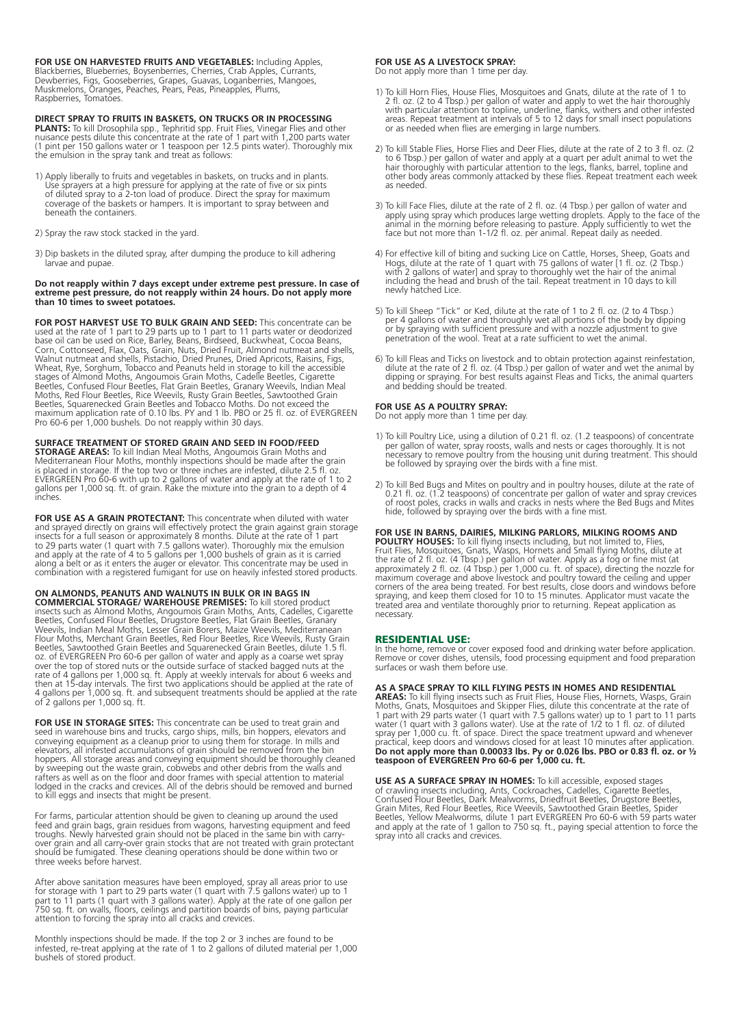**FOR USE ON HARVESTED FRUITS AND VEGETABLES:** Including Apples, Blackberries, Blueberries, Boysenberries, Cherries, Crab Apples, Cūrrants,<br>Dewberries, Figs, Gooseberries, Grapes, Guavas, Loganberries, Mangoes,<br>Muskmelons, Oranges, Peaches, Pears, Peas, Pineapples, Plums, Raspberries, Tomatoes.

#### **DIRECT SPRAY TO FRUITS IN BASKETS, ON TRUCKS OR IN PROCESSING**

**PLANTS:** To kill Drosophila spp., Tephritid spp. Fruit Flies, Vinegar Flies and other<br>nuisance pests dilute this concentrate at the rate of 1 part with 1,200 parts water<br>(1 pint per 150 gallons water or 1 teaspoon per 12. the emulsion in the spray tank and treat as follows:

- 1) Apply liberally to fruits and vegetables in baskets, on trucks and in plants.<br>Use sprayers at a high pressure for applying at the rate of five or six pints<br>of diluted spray to a 2-ton load of produce. Direct the spray f coverage of the baskets or hampers. It is important to spray between and beneath the containers.
- 2) Spray the raw stock stacked in the yard.
- 3) Dip baskets in the diluted spray, after dumping the produce to kill adhering larvae and pupae.

#### **Do not reapply within 7 days except under extreme pest pressure. In case of extreme pest pressure, do not reapply within 24 hours. Do not apply more than 10 times to sweet potatoes.**

**FOR POST HARVEST USE TO BULK GRAIN AND SEED:** This concentrate can be used at the rate of 1 part to 29 parts up to 1 part to 11 parts water or deodorized<br>base oil can be used on Rice, Barley, Beans, Birdseed, Buckwheat, Cocoa Beans,<br>Corn, Cottonseed, Flax, Oats, Grain, Nuts, Dried Fruit, Alm Walnut nutmeat and shells, Pistachio, Dried Prunes, Dried Apricots, Raisins, Figs, Wheat, Rye, Sorghum, Tobacco and Peanuts held in storage to kill the accessible<br>stages of Almond Moths, Angoumois Grain Moths, Cadelle Beetles, Cigarette<br>Beetles, Confused Flour Beetles, Flat Grain Beetles, Granary Weevils maximum application rate of 0.10 lbs. PY and 1 lb. PBO or 25 fl. oz. of EVERGREEN Pro 60-6 per 1,000 bushels. Do not reapply within 30 days.

**SURFACE TREATMENT OF STORED GRAIN AND SEED IN FOOD/FEED STORAGE AREAS:** To kill Indian Meal Moths, Angoumois Grain Moths and Mediterranean Flour Moths, monthly inspections should be made after the grain is placed in storage. If the top two or three inches are infested, dilute 2.5 fl. oz.<br>EVERGREEN Pro 60-6 with up to 2 gallons of water and apply at the rate of 1 to 2<br>gallons per 1,000 sq. ft. of grain. Rake the mixture in

**FOR USE AS A GRAIN PROTECTANT:** This concentrate when diluted with water and sprayed directly on grains will effectively protect the grain against grain storage insects for a full season or approximately 8 months. Dilute combination with a registered fumigant for use on heavily infested stored products.

## **ON ALMONDS, PEANUTS AND WALNUTS IN BULK OR IN BAGS IN COMMERCIAL STORAGE/ WAREHOUSE PREMISES:** To kill stored product

insects such as Almond Moths, Angoumois Grain Moths, Ants, Cadelles, Cigarette<br>Beetles, Confused Flour Beetles, Drugstore Beetles, Flat Grain Beetles, Granary<br>Weevils, Indian Meal Moths, Lesser Grain Borers, Maize Weevils, Flour Moths, Merchant Grain Beetles, Red Flour Beetles, Rice Weevils, Rusty Grain<br>Beetles, Sawtoothed Grain Beetles and Squarenecked Grain Beetles, dilute 1.5 fl.<br>oz. of EVERGREEN Pro 60-6 per gallon of water and apply as over the top of stored nuts or the outside surface of stacked bagged nuts at the<br>rate of 4 gallons per 1,000 sq. ft. Apply at weekly intervals for about 6 weeks and<br>then at 15-day intervals. The first two applications shou

**FOR USE IN STORAGE SITES:** This concentrate can be used to treat grain and seed in warehouse bins and dconveying equipment as a cleanup prior to using them for storage. Hevators and conveying equipment as a cleanup prior lodged in the cracks and crevices. All of the debris should be removed and burned to kill eggs and insects that might be present.

For farms, particular attention should be given to cleaning up around the used<br>feed and grain bags, grain residues from wagons, harvesting equipment and feed<br>troughs. Newly harvested grain should not be placed in the same over grain and all carry-over grain stocks that are not treated with grain protectant should be fumigated. These cleaning operations should be done within two or three weeks before harvest.

After above sanitation measures have been employed, spray all areas prior to use<br>for storage with 1 part to 29 parts water (1 quart with 7.5 gallons water) up to 1<br>part to 11 parts (1 quart with 3 gallons water). Apply at attention to forcing the spray into all cracks and crevices.

Monthly inspections should be made. If the top 2 or 3 inches are found to be infested, re-treat applying at the rate of 1 to 2 gallons of diluted material per 1,000 bushels of stored product.

#### **FOR USE AS A LIVESTOCK SPRAY:**

Do not apply more than 1 time per day.

- 1) To kill Horn Flies, House Flies, Mosquitoes and Gnats, dilute at the rate of 1 to 2 fl. oz. (2 to 4 Tbsp.) per gallon of water and apply to wet the hair thoroughly<br>with particular attention to topline, underline, flanks, withers and other infested<br>areas. Repeat treatment at intervals of 5 to 12 days for or as needed when flies are emerging in large numbers.
- 2) To kill Stable Flies, Horse Flies and Deer Flies, dilute at the rate of 2 to 3 fl. oz. (2<br>to 6 Tbsp.) per gallon of water and apply at a quart per adult animal to wet the<br>hair thoroughly with particular attention to the other body areas commonly attacked by these flies. Repeat treatment each week as needed.
- 3) To kill Face Flies, dilute at the rate of 2 fl. oz. (4 Tbsp.) per gallon of water and apply using spray which produces large wetting droplets. Apply to the face of the<br>animal in the morning before releasing to pasture. Apply sufficiently to wet the<br>face but not more than 1-1/2 fl. oz. per animal. Repeat dai
- 4) For effective kill of biting and sucking Lice on Cattle, Horses, Sheep, Goats and<br>Hogs, dilute at the rate of 1 quart with 75 gallons of water [1 fl. oz. (2 Tbsp.)<br>with 2 gallons of water [1 fl. oz. (2 Tbsp.)<br>including newly hatched Lice.
- 5) To kill Sheep "Tick" or Ked, dilute at the rate of 1 to 2 fl. oz. (2 to 4 Tbsp.) per 4 gallons of water and thoroughly wet all portions of the body by dipping<br>or by spraying with sufficient pressure and with a nozzle adjustment to give<br>penetration of the wool. Treat at a rate sufficient to wet the anim
- 6) To kill Fleas and Ticks on livestock and to obtain protection against reinfestation,<br>dilute at the rate of 2 fl. oz. (4 Tbsp.) per gallon of water and wet the animal by<br>dipping or spraying. For best results against Flea

#### **FOR USE AS A POULTRY SPRAY:**

Do not apply more than 1 time per day.

- 1) To kill Poultry Lice, using a dilution of 0.21 fl. oz. (1.2 teaspoons) of concentrate<br>per gallon of water, spray roosts, walls and nests or cages thoroughly. It is not<br>necessary to remove poultry from the housing unit d be followed by spraying over the birds with a fine mist.
- 2) To kill Bed Bugs and Mites on poultry and in poultry houses, dilute at the rate of<br>0.21 fl. oz. (1.2 teaspoons) of concentrate per gallon of water and spray crevices<br>of roost poles, cracks in walls and cracks in nests w hide, followed by spraying over the birds with a fine mist.

#### **FOR USE IN BARNS, DAIRIES, MILKING PARLORS, MILKING ROOMS AND**

**POULTRY HOUSES:** To kill flying insects including, but not limited to, Flies, Fruit Flies, Mosquitoes, Gnats, Wasps, Hornets and Small flying Moths, dilute at the rate of 2 fl. oz. (4 Tbsp.) per gallon of water. Apply as a fog or fine mist (at approximately 2 fl. oz. (4 Tbsp.) per 1,000 cu. ft. of space), directing the nozzle for maximum coverage and above livestock and poultry necessary.

#### RESIDENTIAL USE:

In the home, remove or cover exposed food and drinking water before application. Remove or cover dishes, utensils, food processing equipment and food preparation surfaces or wash them before use.

#### **AS A SPACE SPRAY TO KILL FLYING PESTS IN HOMES AND RESIDENTIAL**

**AREAS:** To kill flying insects such as Fruit Flies, House Flies, Hornets, Wasps, Grain<br>Moths, Gnats, Mosquitoes and Skipper Flies, dilute this concentrate at the rate of<br>1 part with 29 parts water (1 quart with 7.5 gallon water (1 quart with 3 gallons water). Use at the rate of 1/2 to 1 fl. oz. of diluted<br>spray per 1,000 cu. ft. of space. Direct the space treatment upward and whenever<br>practical, keep doors and windows closed for at least 10 **Do not apply more than 0.00033 lbs. Py or 0.026 lbs. PBO or 0.83 fl. oz. or ½ teaspoon of EVERGREEN Pro 60-6 per 1,000 cu. ft.**

**USE AS A SURFACE SPRAY IN HOMES:** To kill accessible, exposed stages<br>of crawling insects including, Ants, Cockroaches, Cadelles, Cigarette Beetles,<br>Confused Flour Beetles, Dark Mealworms, Driedfruit Beetles, Drugstore Bee